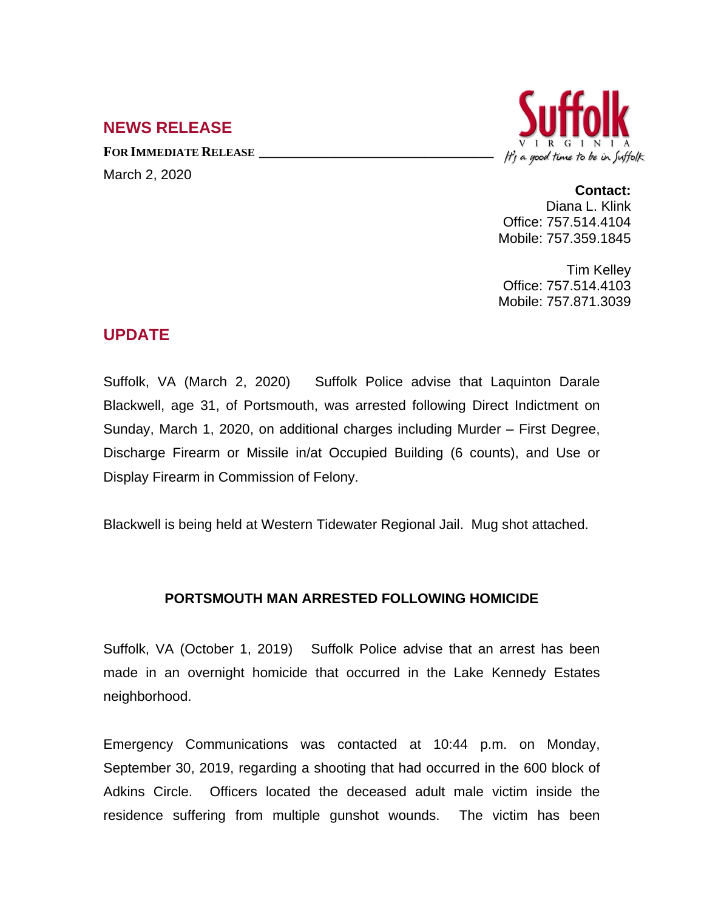## **NEWS RELEASE**

**FOR IMMEDIATE RELEASE \_\_\_\_\_\_\_\_\_\_\_\_\_\_\_\_\_\_\_\_\_\_\_\_\_\_\_\_\_\_\_\_\_\_** March 2, 2020



## **Contact:**

Diana L. Klink Office: 757.514.4104 Mobile: 757.359.1845

Tim Kelley Office: 757.514.4103 Mobile: 757.871.3039

## **UPDATE**

Suffolk, VA (March 2, 2020) Suffolk Police advise that Laquinton Darale Blackwell, age 31, of Portsmouth, was arrested following Direct Indictment on Sunday, March 1, 2020, on additional charges including Murder – First Degree, Discharge Firearm or Missile in/at Occupied Building (6 counts), and Use or Display Firearm in Commission of Felony.

Blackwell is being held at Western Tidewater Regional Jail. Mug shot attached.

## **PORTSMOUTH MAN ARRESTED FOLLOWING HOMICIDE**

Suffolk, VA (October 1, 2019) Suffolk Police advise that an arrest has been made in an overnight homicide that occurred in the Lake Kennedy Estates neighborhood.

Emergency Communications was contacted at 10:44 p.m. on Monday, September 30, 2019, regarding a shooting that had occurred in the 600 block of Adkins Circle. Officers located the deceased adult male victim inside the residence suffering from multiple gunshot wounds. The victim has been